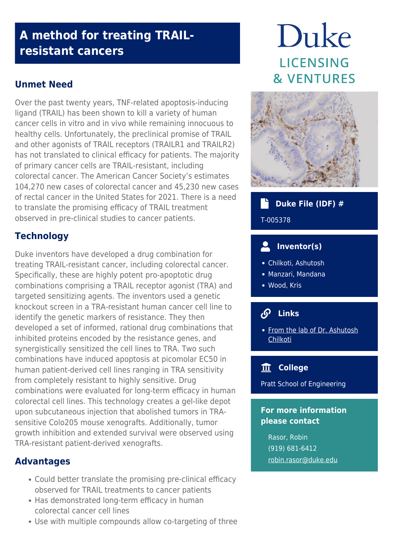## **A method for treating TRAILresistant cancers**

## **Unmet Need**

Over the past twenty years, TNF-related apoptosis-inducing ligand (TRAIL) has been shown to kill a variety of human cancer cells in vitro and in vivo while remaining innocuous to healthy cells. Unfortunately, the preclinical promise of TRAIL and other agonists of TRAIL receptors (TRAILR1 and TRAILR2) has not translated to clinical efficacy for patients. The majority of primary cancer cells are TRAIL-resistant, including colorectal cancer. The American Cancer Society's estimates 104,270 new cases of colorectal cancer and 45,230 new cases of rectal cancer in the United States for 2021. There is a need to translate the promising efficacy of TRAIL treatment observed in pre-clinical studies to cancer patients.

## **Technology**

Duke inventors have developed a drug combination for treating TRAIL-resistant cancer, including colorectal cancer. Specifically, these are highly potent pro-apoptotic drug combinations comprising a TRAIL receptor agonist (TRA) and targeted sensitizing agents. The inventors used a genetic knockout screen in a TRA-resistant human cancer cell line to identify the genetic markers of resistance. They then developed a set of informed, rational drug combinations that inhibited proteins encoded by the resistance genes, and synergistically sensitized the cell lines to TRA. Two such combinations have induced apoptosis at picomolar EC50 in human patient-derived cell lines ranging in TRA sensitivity from completely resistant to highly sensitive. Drug combinations were evaluated for long-term efficacy in human colorectal cell lines. This technology creates a gel-like depot upon subcutaneous injection that abolished tumors in TRAsensitive Colo205 mouse xenografts. Additionally, tumor growth inhibition and extended survival were observed using TRA-resistant patient-derived xenografts.

## **Advantages**

- Could better translate the promising pre-clinical efficacy observed for TRAIL treatments to cancer patients
- Has demonstrated long-term efficacy in human colorectal cancer cell lines
- Use with multiple compounds allow co-targeting of three

# Duke **LICENSING & VENTURES**



## **Duke File (IDF) #**

#### T-005378

## **Inventor(s)**

- Chilkoti, Ashutosh
- Manzari, Mandana
- Wood, Kris

## **Links**

• [From the lab of Dr. Ashutosh](http://chilkotilab.pratt.duke.edu/) [Chilkoti](http://chilkotilab.pratt.duke.edu/)

## **College**

Pratt School of Engineering

#### **For more information please contact**

Rasor, Robin (919) 681-6412 [robin.rasor@duke.edu](mailto:robin.rasor@duke.edu)